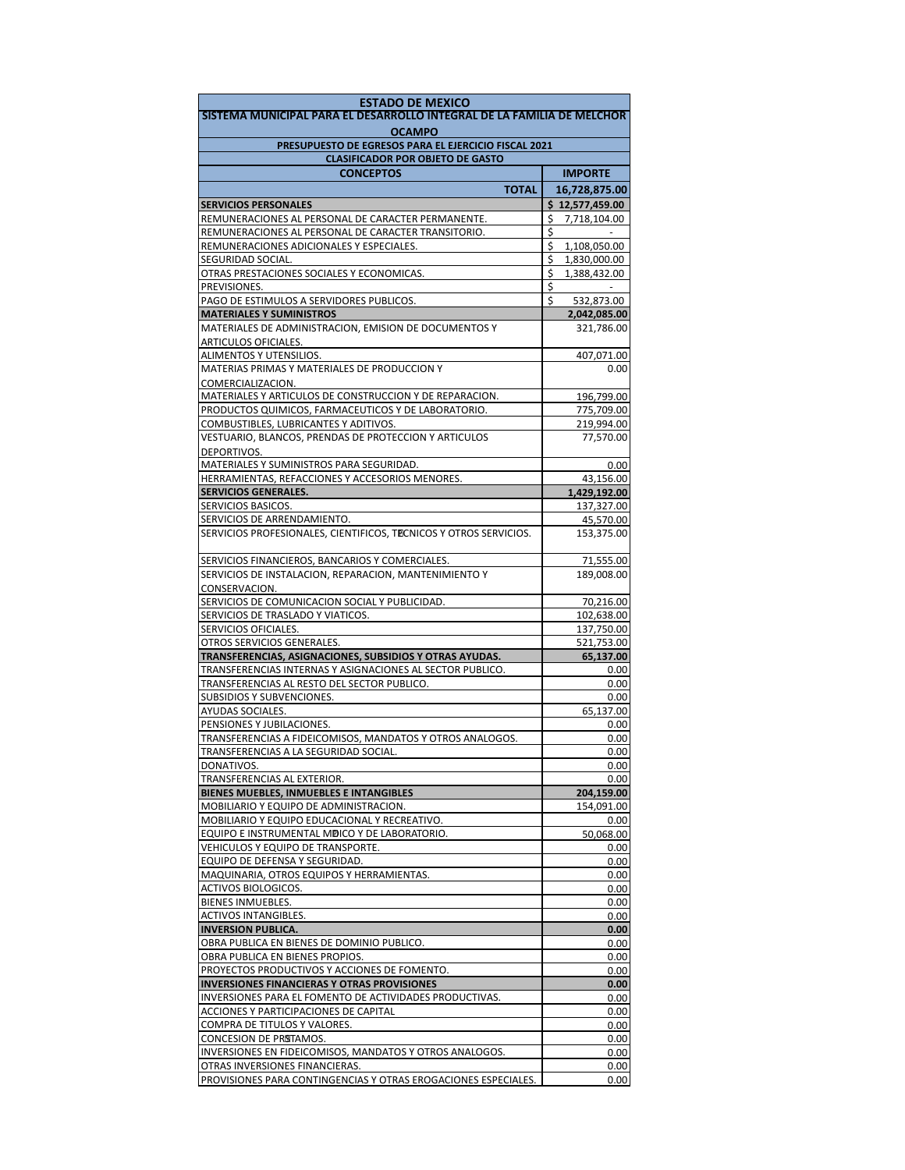| <b>ESTADO DE MEXICO</b>                                                                         |                                          |  |  |  |  |
|-------------------------------------------------------------------------------------------------|------------------------------------------|--|--|--|--|
| SISTEMA MUNICIPAL PARA EL DESARROLLO INTEGRAL DE LA FAMILIA DE MELCHOR                          |                                          |  |  |  |  |
| <b>OCAMPO</b><br>PRESUPUESTO DE EGRESOS PARA EL EJERCICIO FISCAL 2021                           |                                          |  |  |  |  |
| <b>CLASIFICADOR POR OBJETO DE GASTO</b>                                                         |                                          |  |  |  |  |
| <b>CONCEPTOS</b>                                                                                | <b>IMPORTE</b>                           |  |  |  |  |
| <b>TOTAL</b>                                                                                    | 16,728,875.00                            |  |  |  |  |
| <b>SERVICIOS PERSONALES</b>                                                                     | \$12,577,459.00                          |  |  |  |  |
| REMUNERACIONES AL PERSONAL DE CARACTER PERMANENTE.                                              | 7,718,104.00<br>\$                       |  |  |  |  |
| REMUNERACIONES AL PERSONAL DE CARACTER TRANSITORIO.<br>REMUNERACIONES ADICIONALES Y ESPECIALES. | \$                                       |  |  |  |  |
| SEGURIDAD SOCIAL.                                                                               | \$<br>1,108,050.00<br>\$<br>1,830,000.00 |  |  |  |  |
| OTRAS PRESTACIONES SOCIALES Y ECONOMICAS.                                                       | \$<br>1,388,432.00                       |  |  |  |  |
| PREVISIONES.                                                                                    | \$                                       |  |  |  |  |
| PAGO DE ESTIMULOS A SERVIDORES PUBLICOS.                                                        | \$<br>532,873.00                         |  |  |  |  |
| <b>MATERIALES Y SUMINISTROS</b><br>MATERIALES DE ADMINISTRACION, EMISION DE DOCUMENTOS Y        | 2,042,085.00<br>321,786.00               |  |  |  |  |
| ARTICULOS OFICIALES.                                                                            |                                          |  |  |  |  |
| ALIMENTOS Y UTENSILIOS.                                                                         | 407,071.00                               |  |  |  |  |
| MATERIAS PRIMAS Y MATERIALES DE PRODUCCION Y                                                    | 0.00                                     |  |  |  |  |
| COMERCIALIZACION.                                                                               |                                          |  |  |  |  |
| MATERIALES Y ARTICULOS DE CONSTRUCCION Y DE REPARACION.                                         | 196,799.00                               |  |  |  |  |
| PRODUCTOS QUIMICOS, FARMACEUTICOS Y DE LABORATORIO.<br>COMBUSTIBLES, LUBRICANTES Y ADITIVOS.    | 775,709.00<br>219,994.00                 |  |  |  |  |
| VESTUARIO, BLANCOS, PRENDAS DE PROTECCION Y ARTICULOS                                           | 77,570.00                                |  |  |  |  |
| DEPORTIVOS.                                                                                     |                                          |  |  |  |  |
| MATERIALES Y SUMINISTROS PARA SEGURIDAD.                                                        | 0.00                                     |  |  |  |  |
| HERRAMIENTAS, REFACCIONES Y ACCESORIOS MENORES.                                                 | 43,156.00                                |  |  |  |  |
| SERVICIOS GENERALES.                                                                            | 1,429,192.00                             |  |  |  |  |
| SERVICIOS BASICOS.<br>SERVICIOS DE ARRENDAMIENTO.                                               | 137,327.00<br>45,570.00                  |  |  |  |  |
| SERVICIOS PROFESIONALES, CIENTIFICOS, TECNICOS Y OTROS SERVICIOS.                               | 153,375.00                               |  |  |  |  |
|                                                                                                 |                                          |  |  |  |  |
| SERVICIOS FINANCIEROS, BANCARIOS Y COMERCIALES.                                                 | 71,555.00                                |  |  |  |  |
| SERVICIOS DE INSTALACION, REPARACION, MANTENIMIENTO Y                                           | 189,008.00                               |  |  |  |  |
| CONSERVACION.<br>SERVICIOS DE COMUNICACION SOCIAL Y PUBLICIDAD.                                 | 70,216.00                                |  |  |  |  |
| SERVICIOS DE TRASLADO Y VIATICOS.                                                               | 102,638.00                               |  |  |  |  |
| SERVICIOS OFICIALES.                                                                            | 137,750.00                               |  |  |  |  |
| OTROS SERVICIOS GENERALES.                                                                      | 521,753.00                               |  |  |  |  |
| TRANSFERENCIAS, ASIGNACIONES, SUBSIDIOS Y OTRAS AYUDAS.                                         | 65,137.00                                |  |  |  |  |
| TRANSFERENCIAS INTERNAS Y ASIGNACIONES AL SECTOR PUBLICO.                                       | 0.00                                     |  |  |  |  |
| TRANSFERENCIAS AL RESTO DEL SECTOR PUBLICO.<br>SUBSIDIOS Y SUBVENCIONES.                        | 0.00<br>0.00                             |  |  |  |  |
| AYUDAS SOCIALES.                                                                                | 65,137.00                                |  |  |  |  |
| PENSIONES Y JUBILACIONES.                                                                       | 0.00                                     |  |  |  |  |
| TRANSFERENCIAS A FIDEICOMISOS, MANDATOS Y OTROS ANALOGOS.                                       | 0.00                                     |  |  |  |  |
| TRANSFERENCIAS A LA SEGURIDAD SOCIAL.                                                           | 0.00                                     |  |  |  |  |
| DONATIVOS.<br>TRANSFERENCIAS AL EXTERIOR.                                                       | 0.00<br>0.00                             |  |  |  |  |
| <b>BIENES MUEBLES, INMUEBLES E INTANGIBLES</b>                                                  | 204,159.00                               |  |  |  |  |
| MOBILIARIO Y EQUIPO DE ADMINISTRACION.                                                          | 154,091.00                               |  |  |  |  |
| MOBILIARIO Y EQUIPO EDUCACIONAL Y RECREATIVO.                                                   | 0.00                                     |  |  |  |  |
| EQUIPO E INSTRUMENTAL MDICO Y DE LABORATORIO.                                                   | 50,068.00                                |  |  |  |  |
| VEHICULOS Y EQUIPO DE TRANSPORTE.                                                               | 0.00                                     |  |  |  |  |
| EQUIPO DE DEFENSA Y SEGURIDAD.<br>MAQUINARIA, OTROS EQUIPOS Y HERRAMIENTAS.                     | 0.00<br>0.00                             |  |  |  |  |
| ACTIVOS BIOLOGICOS.                                                                             | 0.00                                     |  |  |  |  |
| BIENES INMUEBLES.                                                                               | 0.00                                     |  |  |  |  |
| ACTIVOS INTANGIBLES.                                                                            | 0.00                                     |  |  |  |  |
| <b>INVERSION PUBLICA.</b>                                                                       | 0.00                                     |  |  |  |  |
| OBRA PUBLICA EN BIENES DE DOMINIO PUBLICO.<br>OBRA PUBLICA EN BIENES PROPIOS.                   | 0.00<br>0.00                             |  |  |  |  |
| PROYECTOS PRODUCTIVOS Y ACCIONES DE FOMENTO.                                                    | 0.00                                     |  |  |  |  |
| <b>INVERSIONES FINANCIERAS Y OTRAS PROVISIONES</b>                                              | 0.00                                     |  |  |  |  |
| INVERSIONES PARA EL FOMENTO DE ACTIVIDADES PRODUCTIVAS.                                         | 0.00                                     |  |  |  |  |
| ACCIONES Y PARTICIPACIONES DE CAPITAL                                                           | 0.00                                     |  |  |  |  |
| COMPRA DE TITULOS Y VALORES.                                                                    | 0.00                                     |  |  |  |  |
| CONCESION DE PRSTAMOS.<br>INVERSIONES EN FIDEICOMISOS, MANDATOS Y OTROS ANALOGOS.               | 0.00<br>0.00                             |  |  |  |  |
| OTRAS INVERSIONES FINANCIERAS.                                                                  | 0.00                                     |  |  |  |  |
| PROVISIONES PARA CONTINGENCIAS Y OTRAS EROGACIONES ESPECIALES.                                  | 0.00                                     |  |  |  |  |